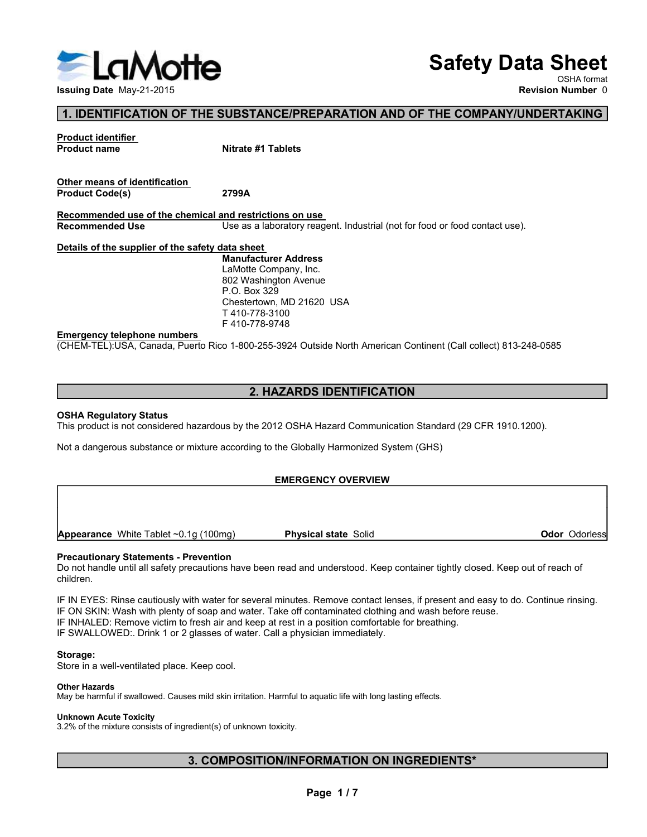

# Safety Data Sheet

OSHA format

# 1. IDENTIFICATION OF THE SUBSTANCE/PREPARATION AND OF THE COMPANY/UNDERTAKING

Safe<br>
Issuing Date May-21-2015<br>
1. IDENTIFICATION OF THE SUBSTANCE/PREPARATION AND OF THE CONTRODUCE<br>
Product identifier<br>
Product name<br>
Other means of identification<br>
Product Code(s)<br>
Recommended use of the chemical and re **Example the May-21-2015**<br>
Issuing Date May-21-2015<br> **Example Data Code(s)**<br> **Product identifier**<br>
Product name<br>
Product Code(s)<br>
Product Code(s)<br> **Recommended use of the chemical and restrictions on use**<br>
Recommended Use<br> Safety Data Sheet<br>
Issuing Date May-21-2015<br>
Revision Number 0<br>
1. IDENTIFICATION OF THE SUBSTANCE/PREPARATION AND OF THE COMPANY/UNDERTAKING<br>
Product dentifier<br>
Product code(s)<br>
Product code(s)<br>
Product code(s)<br>
Product c Safety Data Sheet<br>
Issuing Date May-21-2015<br>
1. IDENTIFICATION OF THE SUBSTANCE/PREPARATION AND OF THE COMPANY/UNDERTAKING<br>
Product code(s)<br>
Product Code(s)<br>
Product Code(s)<br>
Product Code(s)<br>
Product Code(s)<br>
Product Code( Safety Data Sheet<br>
In UNITENCATION OF THE SUBSTANCE/PREPARATION AND OF THE COMPANY/UNDERTAKI<br>
Product identifier<br>
Product code(s)<br>
Product Code(s)<br>
Product Code(s)<br>
Recommended use of the chemical and restrictions on use.<br> Emergency telephone numbers<br>
Emergency telephone numbers<br>
Theory 21-2015<br>
Product identified and restrictions of the street of the same of identified and restrictions on use.<br>
Recommended use of the chemical and restrictio (CHEM-TEL):USA, Canada, Puerto Rico 1-800-255-3924 Outside North American Continent (Call collect) 813-248-0585<br>
Product identifier<br>
Product codets<br>
Product codets<br>
Product codets<br>
Product Codets<br>
Recommended Use<br>
Recommen Froduct name<br>
Product name<br>
Other means of identification.<br>
Product Code(s)<br>
Product Code(s)<br>
2799A<br>
Recommended Use of the chemical and restrictions on use<br>
Recommended Use<br>
Details of the supplier of the safety data shee Product italies<br> **Chier means of Identification.**<br> **Product Code(s)**<br> **Recommended Use**<br> **Recommended Use**<br> **Recommended Use**<br> **Recommended User Standard (1916.1200)**<br> **Recommended User Constant Communication Standard (29** Other means of identification.<br>
Procent Codets)<br>
Recommended Use<br>
Recommended Use<br>
Note contract and the state of the safety data attent.<br>
Manufacturer Address<br>
Leading to the substance or mixture according to the Globally

**Safety Data Sheet**<br>
Manufacturer Revision Number 0<br>
Nitrate #1 Tablets<br> **Revision Number 0**<br>
Nitrate #1 Tablets<br>
2799A<br> **India a sheet**<br>
Use as a laboratory reagent. Industrial (not for food or food contact use).<br>
List a **Safety Data Sheet**<br>Revision Number 0<br>Revision Number 0<br>Nitrate #1 Tablets<br>2799A<br>And restrictions on use<br>Dise as a laboratory reagent. Industrial (not for food or food contact use),<br><u>late sheet</u><br>Manufacturer Address<br>ElaMot **Safety Data Sheet**<br>
SHA format<br>
Revision Number 0<br>
SHA format<br>
Revision Number 0<br>
Nitrate #1 Tablets<br>
2799A<br>
All <u>the sheet</u><br>
2799A<br>
Use as a laboratory reagent. Industrial (not for food or food contact use).<br>
Lamoutactur P.O. Box 329 **Safety Data Sheet**<br>
NUBSTANCE/PREPARATION AND OF THE COMPANY/UNDERTAKING<br>
Nutrate #1 Tablets<br>
2799A<br>
2799A<br>
2799A<br>
Lista shabet and <u>restrictions on use</u><br>
Lista shabet and restrictions on use<br>
Lata shabet<br>
Lata shabet<br>
An T 410-778-3100 F 410-778-9748

# 2. HAZARDS IDENTIFICATION

# EMERGENCY OVERVIEW

children. Manuterunder Adams<br>
AMOND Company, Inc.<br>
Chestierboom Arenus<br>
Chestierboom Manuel<br>
T410-778-3100<br>
T-410-778-3140<br>
CHEM-TELJUSA, Canada, Puerto Rico 1-800-255-3924 Outside North American Continent (Call collect) 813-248-058

Pro. Box 329<br>
Chemeraterony, MD 21620 USA<br>
T410-778-3100<br>
T410-778-3100<br>
T410-778-3100<br>
CHEM-TEL;USA, Canada, Puerto Rico 1-800-255-3924 Outside North American Continent (Call collect) 813-24<br>
2. HAZARDS IDENTIFICATION<br>
OS Constant in the Container and Content in the Container and Content (Call collect) 813-248-0585<br>
F410-778-9748<br>
CCHEM-TEL;USA, Canada, Puerto Rico 1-800-255-3924 Outside North American Continent (Call collect) 813-248-0585 Emargency telephone numbers<br>
IF 410-778-9748<br>
CONEM-TEL}USA, Canada, Puerto Rico 1-800-255-3924 Outside North American Continent (Call collect) 813-248-0585<br>
2. HAZARDS IDENTIFICATION<br>
IThis product is not considered hazar Emergency releases and the Skin Skin First River of State School and Skin School (Criticises) 813-248-0585<br>
2. HAZARDS IDENTIFICATION<br>
IT SKIN: Was product is not considered hazardous by the 2012 OSHA Hazard Communication CHENN: ELFUGN, Canada, Fuerto Rico T-800-250-3924 Outside North American Continent (Call collecting is 13-248-0566)<br>
This product is not considered hazardous by the 2012 OSHA Hazard Communication Standard (29 CFR 1910.1200 **2. HAZARDS IDENTIFICATION**<br>
This product is not considered hazardous by the 2012 OSHA Hazard Communication Standard (29 CFR 1910 1200).<br>
Not a dangerous substance or mixture according to the Globally Harmonized System (GH 2. HAZARDS IDENTIFICATION<br>
STAR Regulatory Status<br>
This product is not considered hazardous by the 2012 OSHA Hazard Communication Standard (29 CFR 1910.1200).<br>
Not a dangerous substance or mixture according to the Globally **CONDUCTERT CONDUCTS CONDUCTS CONDUCTS CONDUCTS**<br>
The understood. Keep container tightly closed. Keep out of reach of<br>
E. Remove contact lenses, if present and easy to do. Continue rinsing.<br>
Exportaninated clothing and was

# Storage:

# Other Hazards

May be harmful if swallowed. Causes mild skin irritation. Harmful to aquatic life with long lasting effects.

# Unknown Acute Toxicity

3.2% of the mixture consists of ingredient(s) of unknown toxicity.

# 3. COMPOSITION/INFORMATION ON INGREDIENTS\*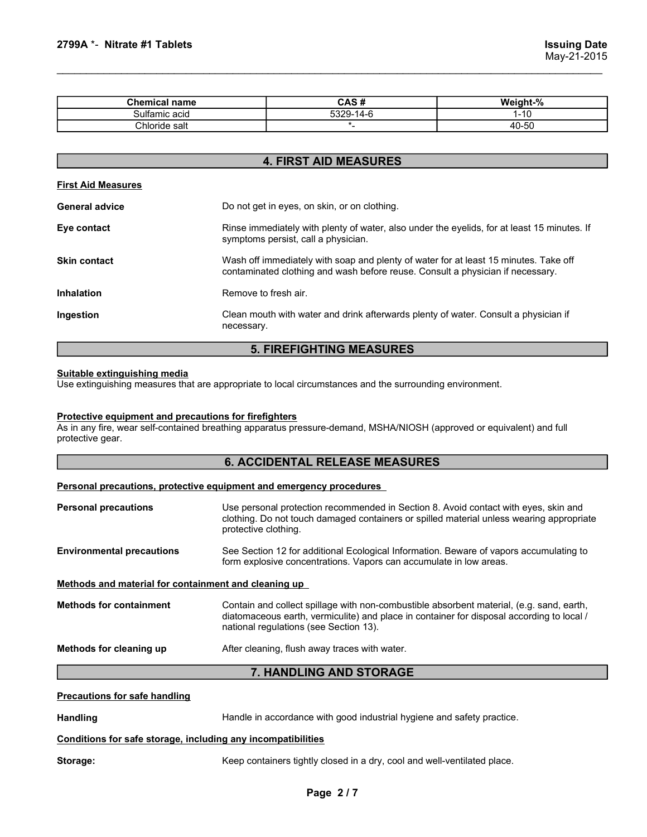| 2799A *- Nitrate #1 Tablets |                              |                                    |
|-----------------------------|------------------------------|------------------------------------|
|                             |                              | <b>Issuing Date</b><br>May-21-2015 |
|                             |                              |                                    |
|                             |                              |                                    |
| <b>Chemical name</b>        | CAS#                         | Weight-%                           |
| Sulfamic acid               | 5329-14-6                    | $1 - 10$                           |
| Chloride salt               | $\star$ _                    | $40 - 50$                          |
|                             |                              |                                    |
|                             |                              |                                    |
| <b>First Aid Measures</b>   | <b>4. FIRST AID MEASURES</b> |                                    |

# 4. FIRST AID MEASURES

| 2799A *- Nitrate #1 Tablets                                               |                                                                                                                                                                                                         | <b>Issuing Date</b><br>May-21-2015 |
|---------------------------------------------------------------------------|---------------------------------------------------------------------------------------------------------------------------------------------------------------------------------------------------------|------------------------------------|
|                                                                           |                                                                                                                                                                                                         |                                    |
| <b>Chemical name</b>                                                      | CAS#                                                                                                                                                                                                    | Weight-%                           |
| Sulfamic acid                                                             | 5329-14-6                                                                                                                                                                                               | $1 - 10$                           |
| Chloride salt                                                             | $\star$                                                                                                                                                                                                 | 40-50                              |
|                                                                           | <b>4. FIRST AID MEASURES</b>                                                                                                                                                                            |                                    |
| <b>First Aid Measures</b>                                                 |                                                                                                                                                                                                         |                                    |
|                                                                           |                                                                                                                                                                                                         |                                    |
| <b>General advice</b>                                                     | Do not get in eyes, on skin, or on clothing.                                                                                                                                                            |                                    |
| Eye contact                                                               | Rinse immediately with plenty of water, also under the eyelids, for at least 15 minutes. If<br>symptoms persist, call a physician.                                                                      |                                    |
| <b>Skin contact</b>                                                       | Wash off immediately with soap and plenty of water for at least 15 minutes. Take off<br>contaminated clothing and wash before reuse. Consult a physician if necessary.                                  |                                    |
| <b>Inhalation</b>                                                         | Remove to fresh air.                                                                                                                                                                                    |                                    |
| Ingestion                                                                 | Clean mouth with water and drink afterwards plenty of water. Consult a physician if<br>necessary.                                                                                                       |                                    |
|                                                                           | <b>5. FIREFIGHTING MEASURES</b>                                                                                                                                                                         |                                    |
| Suitable extinguishing media                                              | Use extinguishing measures that are appropriate to local circumstances and the surrounding environment.                                                                                                 |                                    |
| Protective equipment and precautions for firefighters<br>protective gear. | As in any fire, wear self-contained breathing apparatus pressure-demand, MSHA/NIOSH (approved or equivalent) and full                                                                                   |                                    |
|                                                                           | <b>6. ACCIDENTAL RELEASE MEASURES</b>                                                                                                                                                                   |                                    |
|                                                                           | Personal precautions, protective equipment and emergency procedures                                                                                                                                     |                                    |
| <b>Personal precautions</b>                                               | Use personal protection recommended in Section 8. Avoid contact with eyes, skin and<br>clothing. Do not touch damaged containers or spilled material unless wearing appropriate<br>protective clothing. |                                    |
| <b>Environmental precautions</b>                                          | See Section 12 for additional Ecological Information. Beware of vapors accumulating to<br>form explosive concentrations. Vapors can accumulate in low areas.                                            |                                    |
| Methods and material for containment and cleaning up                      |                                                                                                                                                                                                         |                                    |

# 5. FIREFIGHTING MEASURES

# 6. ACCIDENTAL RELEASE MEASURES

| Personal precautions, protective equipment and emergency procedures |  |  |
|---------------------------------------------------------------------|--|--|
|                                                                     |  |  |

| Skin contact                                                                     | Wash off immediately with soap and plenty of water for at least 15 minutes. Take off<br>contaminated clothing and wash before reuse. Consult a physician if necessary.                                                          |
|----------------------------------------------------------------------------------|---------------------------------------------------------------------------------------------------------------------------------------------------------------------------------------------------------------------------------|
| <b>Inhalation</b>                                                                | Remove to fresh air.                                                                                                                                                                                                            |
| Ingestion                                                                        | Clean mouth with water and drink afterwards plenty of water. Consult a physician if<br>necessary.                                                                                                                               |
|                                                                                  | <b>5. FIREFIGHTING MEASURES</b>                                                                                                                                                                                                 |
| Suitable extinguishing media                                                     | Use extinguishing measures that are appropriate to local circumstances and the surrounding environment.                                                                                                                         |
| <b>Protective equipment and precautions for firefighters</b><br>protective gear. | As in any fire, wear self-contained breathing apparatus pressure-demand, MSHA/NIOSH (approved or equivalent) and full                                                                                                           |
|                                                                                  | <b>6. ACCIDENTAL RELEASE MEASURES</b>                                                                                                                                                                                           |
|                                                                                  | Personal precautions, protective equipment and emergency procedures                                                                                                                                                             |
| <b>Personal precautions</b>                                                      | Use personal protection recommended in Section 8. Avoid contact with eyes, skin and<br>clothing. Do not touch damaged containers or spilled material unless wearing appropriate<br>protective clothing.                         |
| <b>Environmental precautions</b>                                                 | See Section 12 for additional Ecological Information. Beware of vapors accumulating to<br>form explosive concentrations. Vapors can accumulate in low areas.                                                                    |
| Methods and material for containment and cleaning up                             |                                                                                                                                                                                                                                 |
| <b>Methods for containment</b>                                                   | Contain and collect spillage with non-combustible absorbent material, (e.g. sand, earth,<br>diatomaceous earth, vermiculite) and place in container for disposal according to local /<br>national regulations (see Section 13). |
| Methods for cleaning up                                                          | After cleaning, flush away traces with water.                                                                                                                                                                                   |
|                                                                                  | 7. HANDLING AND STORAGE                                                                                                                                                                                                         |
| <b>Precautions for safe handling</b>                                             |                                                                                                                                                                                                                                 |
| <b>Handling</b>                                                                  | Handle in accordance with good industrial hygiene and safety practice.                                                                                                                                                          |
|                                                                                  | Conditions for safe storage, including any incompatibilities                                                                                                                                                                    |
| Storage:                                                                         | Keep containers tightly closed in a dry, cool and well-ventilated place.                                                                                                                                                        |
|                                                                                  | Page 2/7                                                                                                                                                                                                                        |
|                                                                                  |                                                                                                                                                                                                                                 |
|                                                                                  |                                                                                                                                                                                                                                 |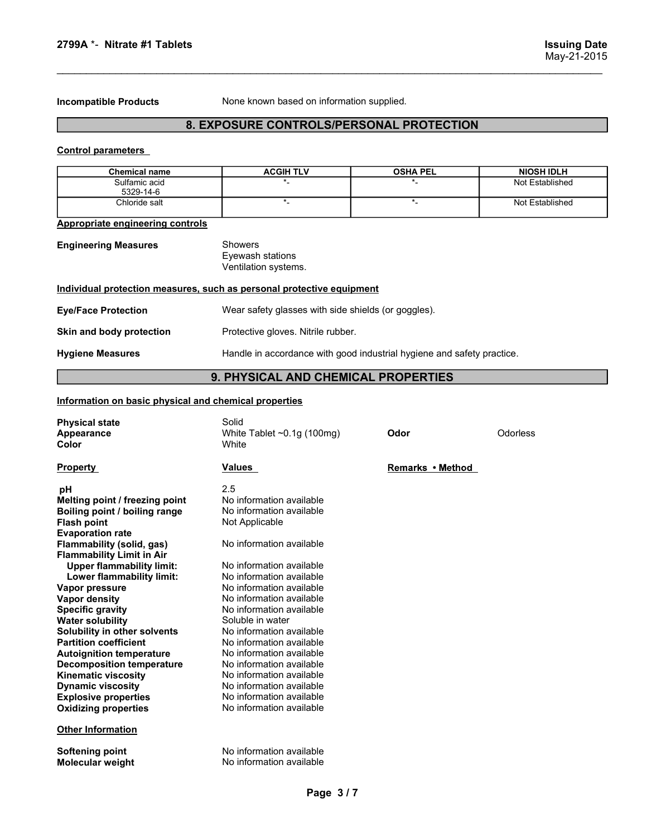2799A \*- Nitrate #1 Tablets<br>
Issuing Date<br>
May-21-2015<br>
Incompatible Products None known based on information supplied.

# Incompatible Products None known based on information supplied. 8. EXPOSURE CONTROLS/PERSONAL PROTECTION

| 2799A *- Nitrate #1 Tablets      |                                                                       |                   | <b>Issuing Date</b><br>May-21-2015 |
|----------------------------------|-----------------------------------------------------------------------|-------------------|------------------------------------|
|                                  |                                                                       |                   |                                    |
|                                  |                                                                       |                   |                                    |
| <b>Incompatible Products</b>     | None known based on information supplied.                             |                   |                                    |
|                                  | 8. EXPOSURE CONTROLS/PERSONAL PROTECTION                              |                   |                                    |
|                                  |                                                                       |                   |                                    |
| <b>Control parameters</b>        |                                                                       |                   |                                    |
| <b>Chemical name</b>             | <b>ACGIH TLV</b>                                                      | <b>OSHA PEL</b>   | <b>NIOSH IDLH</b>                  |
| Sulfamic acid<br>5329-14-6       | *_                                                                    | $^{\star}$ .      | Not Established                    |
| Chloride salt                    | $\star$ _                                                             | $^\star \text{-}$ | Not Established                    |
| Appropriate engineering controls |                                                                       |                   |                                    |
| <b>Engineering Measures</b>      | Showers                                                               |                   |                                    |
|                                  | Eyewash stations                                                      |                   |                                    |
|                                  | Ventilation systems.                                                  |                   |                                    |
|                                  | Individual protection measures, such as personal protective equipment |                   |                                    |
| <b>Eye/Face Protection</b>       | Wear safety glasses with side shields (or goggles).                   |                   |                                    |
| Skin and body protection         | Protective gloves. Nitrile rubber.                                    |                   |                                    |

| 2799A *- Nitrate #1 Tablets                           |                                                                        |                  | <b>Issuing Date</b><br>May-21-2015 |
|-------------------------------------------------------|------------------------------------------------------------------------|------------------|------------------------------------|
| <b>Incompatible Products</b>                          | None known based on information supplied.                              |                  |                                    |
|                                                       | 8. EXPOSURE CONTROLS/PERSONAL PROTECTION                               |                  |                                    |
| <b>Control parameters</b>                             |                                                                        |                  |                                    |
| <b>Chemical name</b>                                  | <b>ACGIH TLV</b>                                                       | <b>OSHA PEL</b>  | <b>NIOSH IDLH</b>                  |
| Sulfamic acid<br>5329-14-6                            | $\star$                                                                | $\star$          | Not Established                    |
| Chloride salt                                         | $\ast$                                                                 | $^\star$ .       | Not Established                    |
| <b>Appropriate engineering controls</b>               |                                                                        |                  |                                    |
| <b>Engineering Measures</b>                           | Showers<br>Eyewash stations<br>Ventilation systems.                    |                  |                                    |
|                                                       | Individual protection measures, such as personal protective equipment  |                  |                                    |
| <b>Eye/Face Protection</b>                            | Wear safety glasses with side shields (or goggles).                    |                  |                                    |
| Skin and body protection                              | Protective gloves. Nitrile rubber.                                     |                  |                                    |
| <b>Hygiene Measures</b>                               | Handle in accordance with good industrial hygiene and safety practice. |                  |                                    |
|                                                       | 9. PHYSICAL AND CHEMICAL PROPERTIES                                    |                  |                                    |
| Information on basic physical and chemical properties |                                                                        |                  |                                    |
| <b>Physical state</b><br><b>Appearance</b><br>Color   | Solid<br>White Tablet ~0.1g (100mg)<br>White                           | <b>Odor</b>      | Odorless                           |
| <b>Property</b>                                       | <b>Values</b>                                                          | Remarks • Method |                                    |
| nН.                                                   | 25                                                                     |                  |                                    |

# 9. PHYSICAL AND CHEMICAL PROPERTIES

| <b>Chemical name</b>                                                                                                                                                                                                                                                                                                                                                                                                                                                                                                                                                                                                                                | <b>ACGIH TLV</b>                                                                                                                                                                                                                                                                                                                                                                                                                                                                                          | <b>OSHA PEL</b>   | <b>NIOSH IDLH</b> |
|-----------------------------------------------------------------------------------------------------------------------------------------------------------------------------------------------------------------------------------------------------------------------------------------------------------------------------------------------------------------------------------------------------------------------------------------------------------------------------------------------------------------------------------------------------------------------------------------------------------------------------------------------------|-----------------------------------------------------------------------------------------------------------------------------------------------------------------------------------------------------------------------------------------------------------------------------------------------------------------------------------------------------------------------------------------------------------------------------------------------------------------------------------------------------------|-------------------|-------------------|
| Sulfamic acid                                                                                                                                                                                                                                                                                                                                                                                                                                                                                                                                                                                                                                       | $^{\star}$ .                                                                                                                                                                                                                                                                                                                                                                                                                                                                                              | *_                | Not Established   |
| 5329-14-6<br>Chloride salt                                                                                                                                                                                                                                                                                                                                                                                                                                                                                                                                                                                                                          | $*$                                                                                                                                                                                                                                                                                                                                                                                                                                                                                                       | $^\star \text{-}$ | Not Established   |
|                                                                                                                                                                                                                                                                                                                                                                                                                                                                                                                                                                                                                                                     |                                                                                                                                                                                                                                                                                                                                                                                                                                                                                                           |                   |                   |
| Appropriate engineering controls                                                                                                                                                                                                                                                                                                                                                                                                                                                                                                                                                                                                                    |                                                                                                                                                                                                                                                                                                                                                                                                                                                                                                           |                   |                   |
| <b>Engineering Measures</b>                                                                                                                                                                                                                                                                                                                                                                                                                                                                                                                                                                                                                         | <b>Showers</b><br>Eyewash stations<br>Ventilation systems.                                                                                                                                                                                                                                                                                                                                                                                                                                                |                   |                   |
| Individual protection measures, such as personal protective equipment                                                                                                                                                                                                                                                                                                                                                                                                                                                                                                                                                                               |                                                                                                                                                                                                                                                                                                                                                                                                                                                                                                           |                   |                   |
| <b>Eye/Face Protection</b>                                                                                                                                                                                                                                                                                                                                                                                                                                                                                                                                                                                                                          | Wear safety glasses with side shields (or goggles).                                                                                                                                                                                                                                                                                                                                                                                                                                                       |                   |                   |
| Skin and body protection                                                                                                                                                                                                                                                                                                                                                                                                                                                                                                                                                                                                                            | Protective gloves. Nitrile rubber.                                                                                                                                                                                                                                                                                                                                                                                                                                                                        |                   |                   |
| <b>Hygiene Measures</b>                                                                                                                                                                                                                                                                                                                                                                                                                                                                                                                                                                                                                             | Handle in accordance with good industrial hygiene and safety practice.                                                                                                                                                                                                                                                                                                                                                                                                                                    |                   |                   |
|                                                                                                                                                                                                                                                                                                                                                                                                                                                                                                                                                                                                                                                     | 9. PHYSICAL AND CHEMICAL PROPERTIES                                                                                                                                                                                                                                                                                                                                                                                                                                                                       |                   |                   |
| Information on basic physical and chemical properties                                                                                                                                                                                                                                                                                                                                                                                                                                                                                                                                                                                               |                                                                                                                                                                                                                                                                                                                                                                                                                                                                                                           |                   |                   |
| <b>Physical state</b><br>Appearance<br>Color                                                                                                                                                                                                                                                                                                                                                                                                                                                                                                                                                                                                        | Solid<br>White Tablet ~0.1g (100mg)<br>White                                                                                                                                                                                                                                                                                                                                                                                                                                                              | Odor              | Odorless          |
| <b>Property</b>                                                                                                                                                                                                                                                                                                                                                                                                                                                                                                                                                                                                                                     | Values                                                                                                                                                                                                                                                                                                                                                                                                                                                                                                    | Remarks • Method  |                   |
| рH<br>Melting point / freezing point<br>Boiling point / boiling range<br><b>Flash point</b><br><b>Evaporation rate</b><br>Flammability (solid, gas)<br><b>Flammability Limit in Air</b><br><b>Upper flammability limit:</b><br>Lower flammability limit:<br>Vapor pressure<br><b>Vapor density</b><br><b>Specific gravity</b><br><b>Water solubility</b><br>Solubility in other solvents<br><b>Partition coefficient</b><br><b>Autoignition temperature</b><br><b>Decomposition temperature</b><br><b>Kinematic viscosity</b><br><b>Dynamic viscosity</b><br><b>Explosive properties</b><br><b>Oxidizing properties</b><br><b>Other Information</b> | 2.5<br>No information available<br>No information available<br>Not Applicable<br>No information available<br>No information available<br>No information available<br>No information available<br>No information available<br>No information available<br>Soluble in water<br>No information available<br>No information available<br>No information available<br>No information available<br>No information available<br>No information available<br>No information available<br>No information available |                   |                   |
| <b>Softening point</b><br>Molecular weight                                                                                                                                                                                                                                                                                                                                                                                                                                                                                                                                                                                                          | No information available<br>No information available                                                                                                                                                                                                                                                                                                                                                                                                                                                      |                   |                   |
|                                                                                                                                                                                                                                                                                                                                                                                                                                                                                                                                                                                                                                                     | Page 3/7                                                                                                                                                                                                                                                                                                                                                                                                                                                                                                  |                   |                   |
|                                                                                                                                                                                                                                                                                                                                                                                                                                                                                                                                                                                                                                                     |                                                                                                                                                                                                                                                                                                                                                                                                                                                                                                           |                   |                   |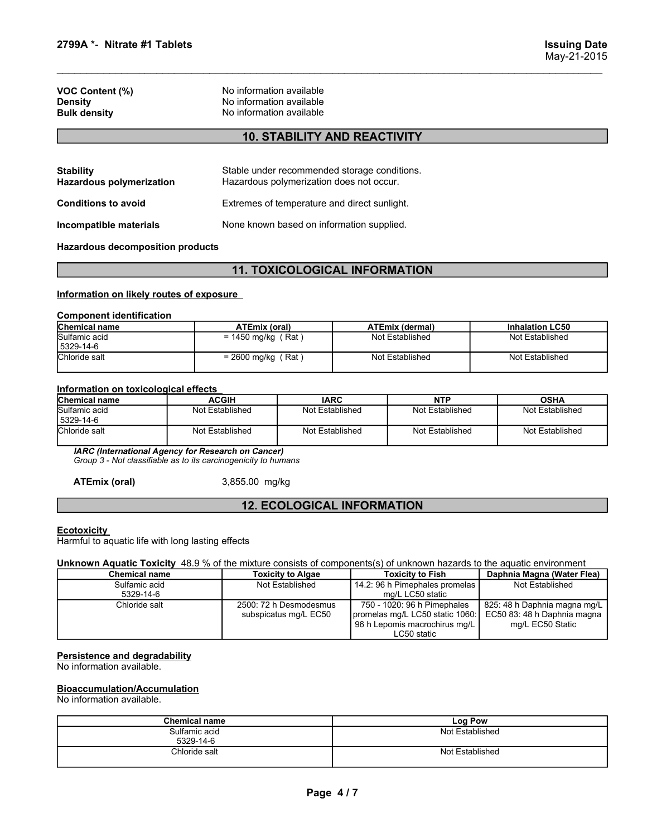| 2799A *- Nitrate #1 Tablets                                          |                                                                                         | <b>Issuing Date</b><br>May-21-2015 |
|----------------------------------------------------------------------|-----------------------------------------------------------------------------------------|------------------------------------|
| VOC Content (%)<br>Density<br><b>Bulk density</b>                    | No information available<br>No information available<br>No information available        |                                    |
|                                                                      | <b>10. STABILITY AND REACTIVITY</b>                                                     |                                    |
| <b>Stability</b><br>المتملؤ والمتساوي والمتراوي والمترافي والمستمران | Stable under recommended storage conditions.<br>Hererdaus peluperiretien dees pet essur |                                    |

# 10. STABILITY AND REACTIVITY

| 2799A *- Nitrate #1 Tablets                                                 |                                                                                  |                                                                                          |                        | <b>Issuing Date</b><br>May-21-2015 |
|-----------------------------------------------------------------------------|----------------------------------------------------------------------------------|------------------------------------------------------------------------------------------|------------------------|------------------------------------|
| <b>VOC Content (%)</b><br><b>Density</b><br><b>Bulk density</b>             | No information available<br>No information available<br>No information available |                                                                                          |                        |                                    |
|                                                                             |                                                                                  | <b>10. STABILITY AND REACTIVITY</b>                                                      |                        |                                    |
| <b>Stability</b><br><b>Hazardous polymerization</b>                         |                                                                                  | Stable under recommended storage conditions.<br>Hazardous polymerization does not occur. |                        |                                    |
| <b>Conditions to avoid</b>                                                  |                                                                                  | Extremes of temperature and direct sunlight.                                             |                        |                                    |
| Incompatible materials                                                      |                                                                                  | None known based on information supplied.                                                |                        |                                    |
| <b>Hazardous decomposition products</b>                                     |                                                                                  |                                                                                          |                        |                                    |
|                                                                             |                                                                                  | <b>11. TOXICOLOGICAL INFORMATION</b>                                                     |                        |                                    |
| Information on likely routes of exposure<br><b>Component identification</b> |                                                                                  |                                                                                          |                        |                                    |
| <b>Chemical name</b>                                                        | ATEmix (oral)                                                                    |                                                                                          | <b>ATEmix (dermal)</b> | <b>Inhalation LC50</b>             |
| Sulfamic acid<br>5329-14-6                                                  | $= 1450$ mg/kg (Rat)                                                             |                                                                                          | Not Established        | Not Established                    |
| Chloride salt                                                               | $= 2600$ mg/kg (Rat)                                                             |                                                                                          | Not Established        | Not Established                    |
| Information on toxicological effects                                        |                                                                                  |                                                                                          |                        |                                    |
| Chemical name                                                               | <b>ACGIH</b>                                                                     | <b>IARC</b>                                                                              | <b>NTP</b>             | <b>OSHA</b>                        |
| Sulfamic acid                                                               | Not Established                                                                  | Not Established                                                                          | Not Established        | Not Established                    |
| 5329-14-6<br>Chloride salt                                                  |                                                                                  |                                                                                          |                        |                                    |

# 11. TOXICOLOGICAL INFORMATION

|                                                          |                                                                                  |                                                                                          |                                           | May-21-2015                               |
|----------------------------------------------------------|----------------------------------------------------------------------------------|------------------------------------------------------------------------------------------|-------------------------------------------|-------------------------------------------|
| VOC Content (%)<br><b>Density</b><br><b>Bulk density</b> | No information available<br>No information available<br>No information available |                                                                                          |                                           |                                           |
|                                                          |                                                                                  | <b>10. STABILITY AND REACTIVITY</b>                                                      |                                           |                                           |
| <b>Stability</b><br><b>Hazardous polymerization</b>      |                                                                                  | Stable under recommended storage conditions.<br>Hazardous polymerization does not occur. |                                           |                                           |
| <b>Conditions to avoid</b>                               |                                                                                  | Extremes of temperature and direct sunlight.                                             |                                           |                                           |
| Incompatible materials                                   |                                                                                  | None known based on information supplied.                                                |                                           |                                           |
| <b>Hazardous decomposition products</b>                  |                                                                                  |                                                                                          |                                           |                                           |
|                                                          |                                                                                  | <b>11. TOXICOLOGICAL INFORMATION</b>                                                     |                                           |                                           |
| Information on likely routes of exposure                 |                                                                                  |                                                                                          |                                           |                                           |
| <b>Component identification</b>                          |                                                                                  |                                                                                          |                                           |                                           |
| Chemical name<br>Sulfamic acid                           | <b>ATEmix (oral)</b><br>$= 1450$ mg/kg (Rat)                                     |                                                                                          | <b>ATEmix (dermal)</b><br>Not Established | <b>Inhalation LC50</b><br>Not Established |
| 5329-14-6<br>Chloride salt                               | $= 2600$ mg/kg (Rat)                                                             |                                                                                          | Not Established                           | Not Established                           |
| Information on toxicological effects                     |                                                                                  |                                                                                          |                                           |                                           |
| Chemical name                                            | <b>ACGIH</b>                                                                     | <b>IARC</b>                                                                              | <b>NTP</b>                                | <b>OSHA</b>                               |
| Sulfamic acid<br>5329-14-6                               | Not Established                                                                  | Not Established                                                                          | Not Established                           | Not Established                           |

|                                                                                                                        |                      | <b>10. STABILITY AND REACTIVITY</b>                                                      |                                |                              |
|------------------------------------------------------------------------------------------------------------------------|----------------------|------------------------------------------------------------------------------------------|--------------------------------|------------------------------|
|                                                                                                                        |                      |                                                                                          |                                |                              |
| <b>Stability</b><br><b>Hazardous polymerization</b>                                                                    |                      | Stable under recommended storage conditions.<br>Hazardous polymerization does not occur. |                                |                              |
| <b>Conditions to avoid</b>                                                                                             |                      | Extremes of temperature and direct sunlight.                                             |                                |                              |
| Incompatible materials                                                                                                 |                      | None known based on information supplied.                                                |                                |                              |
| <b>Hazardous decomposition products</b>                                                                                |                      |                                                                                          |                                |                              |
|                                                                                                                        |                      | <b>11. TOXICOLOGICAL INFORMATION</b>                                                     |                                |                              |
| Information on likely routes of exposure                                                                               |                      |                                                                                          |                                |                              |
|                                                                                                                        |                      |                                                                                          |                                |                              |
| <b>Component identification</b>                                                                                        |                      |                                                                                          |                                |                              |
| <b>Chemical name</b><br>Sulfamic acid                                                                                  | <b>ATEmix (oral)</b> |                                                                                          | <b>ATEmix (dermal)</b>         | <b>Inhalation LC50</b>       |
| 5329-14-6                                                                                                              | $= 1450$ mg/kg (Rat) |                                                                                          | Not Established                | Not Established              |
| Chloride salt                                                                                                          | $= 2600$ mg/kg (Rat) |                                                                                          | Not Established                | Not Established              |
|                                                                                                                        |                      |                                                                                          |                                |                              |
| Information on toxicological effects                                                                                   |                      |                                                                                          |                                |                              |
| <b>Chemical name</b>                                                                                                   | <b>ACGIH</b>         | <b>IARC</b>                                                                              | <b>NTP</b>                     | <b>OSHA</b>                  |
| Sulfamic acid<br>5329-14-6                                                                                             | Not Established      | Not Established                                                                          | Not Established                | Not Established              |
| Chloride salt                                                                                                          | Not Established      | Not Established                                                                          | Not Established                | Not Established              |
| IARC (International Agency for Research on Cancer)<br>Group 3 - Not classifiable as to its carcinogenicity to humans   |                      |                                                                                          |                                |                              |
| <b>ATEmix (oral)</b>                                                                                                   | 3,855.00 mg/kg       |                                                                                          |                                |                              |
|                                                                                                                        |                      | <b>12. ECOLOGICAL INFORMATION</b>                                                        |                                |                              |
|                                                                                                                        |                      |                                                                                          |                                |                              |
| <b>Ecotoxicity</b><br>Harmful to aquatic life with long lasting effects                                                |                      |                                                                                          |                                |                              |
| Unknown Aquatic Toxicity 48.9 % of the mixture consists of components(s) of unknown hazards to the aquatic environment |                      |                                                                                          |                                |                              |
| <b>Chemical name</b>                                                                                                   |                      | <b>Toxicity to Algae</b>                                                                 | <b>Toxicity to Fish</b>        | Daphnia Magna (Water Flea)   |
| Sulfamic acid                                                                                                          |                      | Not Established                                                                          | 14.2: 96 h Pimephales promelas | Not Established              |
| 5329-14-6                                                                                                              |                      |                                                                                          | mg/L LC50 static               |                              |
| Chloride salt                                                                                                          |                      | 2500: 72 h Desmodesmus                                                                   | 750 - 1020: 96 h Pimephales    | 825: 48 h Daphnia magna mg/L |
|                                                                                                                        |                      |                                                                                          |                                |                              |

# 12. ECOLOGICAL INFORMATION

| <b>Component identification</b><br>Chemical name<br><b>ATEmix (oral)</b><br><b>ATEmix (dermal)</b><br><b>Inhalation LC50</b><br>Sulfamic acid<br>$= 1450$ mg/kg (Rat)<br>Not Established<br>Not Established<br>5329-14-6<br>Chloride salt<br>$= 2600$ mg/kg (Rat)<br>Not Established<br>Not Established<br>Information on toxicological effects<br>Chemical name<br><b>ACGIH</b><br><b>IARC</b><br><b>NTP</b><br><b>OSHA</b><br>Sulfamic acid<br>Not Established<br>Not Established<br>Not Established<br>Not Established<br>5329-14-6<br>Chloride salt<br>Not Established<br>Not Established<br>Not Established<br>Not Established<br>IARC (International Agency for Research on Cancer)<br>Group 3 - Not classifiable as to its carcinogenicity to humans<br><b>ATEmix (oral)</b><br>3,855.00 mg/kg<br><b>12. ECOLOGICAL INFORMATION</b><br><b>Ecotoxicity</b><br>Harmful to aquatic life with long lasting effects<br>Unknown Aquatic Toxicity 48.9 % of the mixture consists of components(s) of unknown hazards to the aquatic environment<br><b>Toxicity to Fish</b><br>Daphnia Magna (Water Flea)<br><b>Chemical name</b><br><b>Toxicity to Algae</b><br>14.2: 96 h Pimephales promelas<br>Sulfamic acid<br>Not Established<br>Not Established<br>5329-14-6<br>mg/L LC50 static<br>2500: 72 h Desmodesmus<br>750 - 1020: 96 h Pimephales<br>825: 48 h Daphnia magna mg/L<br>Chloride salt<br>promelas mg/L LC50 static 1060:<br>EC50 83: 48 h Daphnia magna<br>subspicatus mg/L EC50 |
|---------------------------------------------------------------------------------------------------------------------------------------------------------------------------------------------------------------------------------------------------------------------------------------------------------------------------------------------------------------------------------------------------------------------------------------------------------------------------------------------------------------------------------------------------------------------------------------------------------------------------------------------------------------------------------------------------------------------------------------------------------------------------------------------------------------------------------------------------------------------------------------------------------------------------------------------------------------------------------------------------------------------------------------------------------------------------------------------------------------------------------------------------------------------------------------------------------------------------------------------------------------------------------------------------------------------------------------------------------------------------------------------------------------------------------------------------------------------------------------------|
|                                                                                                                                                                                                                                                                                                                                                                                                                                                                                                                                                                                                                                                                                                                                                                                                                                                                                                                                                                                                                                                                                                                                                                                                                                                                                                                                                                                                                                                                                             |
|                                                                                                                                                                                                                                                                                                                                                                                                                                                                                                                                                                                                                                                                                                                                                                                                                                                                                                                                                                                                                                                                                                                                                                                                                                                                                                                                                                                                                                                                                             |
|                                                                                                                                                                                                                                                                                                                                                                                                                                                                                                                                                                                                                                                                                                                                                                                                                                                                                                                                                                                                                                                                                                                                                                                                                                                                                                                                                                                                                                                                                             |
|                                                                                                                                                                                                                                                                                                                                                                                                                                                                                                                                                                                                                                                                                                                                                                                                                                                                                                                                                                                                                                                                                                                                                                                                                                                                                                                                                                                                                                                                                             |
|                                                                                                                                                                                                                                                                                                                                                                                                                                                                                                                                                                                                                                                                                                                                                                                                                                                                                                                                                                                                                                                                                                                                                                                                                                                                                                                                                                                                                                                                                             |
|                                                                                                                                                                                                                                                                                                                                                                                                                                                                                                                                                                                                                                                                                                                                                                                                                                                                                                                                                                                                                                                                                                                                                                                                                                                                                                                                                                                                                                                                                             |
|                                                                                                                                                                                                                                                                                                                                                                                                                                                                                                                                                                                                                                                                                                                                                                                                                                                                                                                                                                                                                                                                                                                                                                                                                                                                                                                                                                                                                                                                                             |
|                                                                                                                                                                                                                                                                                                                                                                                                                                                                                                                                                                                                                                                                                                                                                                                                                                                                                                                                                                                                                                                                                                                                                                                                                                                                                                                                                                                                                                                                                             |
|                                                                                                                                                                                                                                                                                                                                                                                                                                                                                                                                                                                                                                                                                                                                                                                                                                                                                                                                                                                                                                                                                                                                                                                                                                                                                                                                                                                                                                                                                             |
|                                                                                                                                                                                                                                                                                                                                                                                                                                                                                                                                                                                                                                                                                                                                                                                                                                                                                                                                                                                                                                                                                                                                                                                                                                                                                                                                                                                                                                                                                             |
|                                                                                                                                                                                                                                                                                                                                                                                                                                                                                                                                                                                                                                                                                                                                                                                                                                                                                                                                                                                                                                                                                                                                                                                                                                                                                                                                                                                                                                                                                             |
|                                                                                                                                                                                                                                                                                                                                                                                                                                                                                                                                                                                                                                                                                                                                                                                                                                                                                                                                                                                                                                                                                                                                                                                                                                                                                                                                                                                                                                                                                             |
| 96 h Lepomis macrochirus mg/L<br>mg/L EC50 Static<br>LC50 static                                                                                                                                                                                                                                                                                                                                                                                                                                                                                                                                                                                                                                                                                                                                                                                                                                                                                                                                                                                                                                                                                                                                                                                                                                                                                                                                                                                                                            |
| Persistence and degradability<br>No information available.                                                                                                                                                                                                                                                                                                                                                                                                                                                                                                                                                                                                                                                                                                                                                                                                                                                                                                                                                                                                                                                                                                                                                                                                                                                                                                                                                                                                                                  |
| <b>Bioaccumulation/Accumulation</b><br>No information available.                                                                                                                                                                                                                                                                                                                                                                                                                                                                                                                                                                                                                                                                                                                                                                                                                                                                                                                                                                                                                                                                                                                                                                                                                                                                                                                                                                                                                            |
| <b>Chemical name</b><br><b>Log Pow</b>                                                                                                                                                                                                                                                                                                                                                                                                                                                                                                                                                                                                                                                                                                                                                                                                                                                                                                                                                                                                                                                                                                                                                                                                                                                                                                                                                                                                                                                      |
| Sulfamic acid<br>Not Established                                                                                                                                                                                                                                                                                                                                                                                                                                                                                                                                                                                                                                                                                                                                                                                                                                                                                                                                                                                                                                                                                                                                                                                                                                                                                                                                                                                                                                                            |
| 5329-14-6<br>Chloride salt<br>Not Established                                                                                                                                                                                                                                                                                                                                                                                                                                                                                                                                                                                                                                                                                                                                                                                                                                                                                                                                                                                                                                                                                                                                                                                                                                                                                                                                                                                                                                               |

# Bioaccumulation/Accumulation

| <b>Chemical name</b>       | Log Pow         |
|----------------------------|-----------------|
| Sulfamic acid<br>5329-14-6 | Not Established |
| Chloride salt              | Not Established |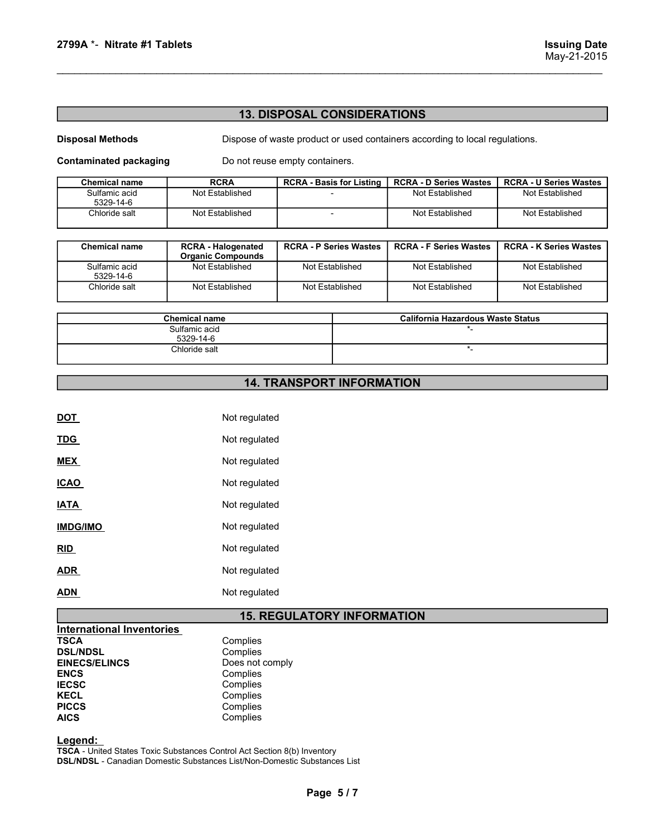# 13. DISPOSAL CONSIDERATIONS

| 2799A *- Nitrate #1 Tablets   |                           |                                                                             |                               | <b>Issuing Date</b><br>May-21-2015 |
|-------------------------------|---------------------------|-----------------------------------------------------------------------------|-------------------------------|------------------------------------|
|                               |                           |                                                                             |                               |                                    |
|                               |                           |                                                                             |                               |                                    |
|                               |                           |                                                                             |                               |                                    |
|                               |                           | <b>13. DISPOSAL CONSIDERATIONS</b>                                          |                               |                                    |
| <b>Disposal Methods</b>       |                           | Dispose of waste product or used containers according to local regulations. |                               |                                    |
| <b>Contaminated packaging</b> |                           | Do not reuse empty containers.                                              |                               |                                    |
| <b>Chemical name</b>          | <b>RCRA</b>               | <b>RCRA - Basis for Listing</b>                                             | <b>RCRA - D Series Wastes</b> | <b>RCRA - U Series Wastes</b>      |
| Sulfamic acid<br>5329-14-6    | Not Established           |                                                                             | <b>Not Established</b>        | <b>Not Established</b>             |
| Chloride salt                 | Not Established           | $\sim$                                                                      | Not Established               | Not Established                    |
|                               |                           |                                                                             |                               |                                    |
|                               | <b>RCRA - Halogenated</b> | <b>RCRA - P Series Wastes</b>                                               | <b>RCRA - F Series Wastes</b> | <b>RCRA - K Series Wastes</b>      |
| <b>Chemical name</b>          | <b>Organic Compounds</b>  |                                                                             |                               | Not Established                    |

| 2799A *- Nitrate #1 Tablets                              |                                                       |                                    |                                  |                                                                             | <b>Issuing Date</b><br>May-21-2015 |
|----------------------------------------------------------|-------------------------------------------------------|------------------------------------|----------------------------------|-----------------------------------------------------------------------------|------------------------------------|
|                                                          |                                                       | <b>13. DISPOSAL CONSIDERATIONS</b> |                                  |                                                                             |                                    |
| <b>Disposal Methods</b><br><b>Contaminated packaging</b> |                                                       | Do not reuse empty containers.     |                                  | Dispose of waste product or used containers according to local regulations. |                                    |
| <b>Chemical name</b>                                     | <b>RCRA</b>                                           | <b>RCRA - Basis for Listing</b>    |                                  | <b>RCRA - D Series Wastes</b>                                               | <b>RCRA - U Series Wastes</b>      |
| Sulfamic acid<br>5329-14-6                               | Not Established                                       |                                    |                                  | Not Established                                                             | Not Established                    |
| Chloride salt                                            | Not Established                                       | $\blacksquare$                     |                                  | Not Established                                                             | Not Established                    |
| <b>Chemical name</b>                                     | <b>RCRA - Halogenated</b><br><b>Organic Compounds</b> | <b>RCRA - P Series Wastes</b>      |                                  | <b>RCRA - F Series Wastes</b>                                               | <b>RCRA - K Series Wastes</b>      |
| Sulfamic acid<br>5329-14-6                               | Not Established                                       | Not Established                    |                                  | Not Established                                                             | Not Established                    |
| Chloride salt                                            | Not Established                                       | Not Established                    |                                  | Not Established                                                             | Not Established                    |
|                                                          | <b>Chemical name</b>                                  |                                    |                                  | California Hazardous Waste Status                                           |                                    |
| Sulfamic acid<br>5329-14-6                               |                                                       |                                    |                                  | *_                                                                          |                                    |
|                                                          | Chloride salt                                         |                                    |                                  | $\star$                                                                     |                                    |
|                                                          |                                                       |                                    | <b>14. TRANSPORT INFORMATION</b> |                                                                             |                                    |

| <b>Chemical name</b>       | California Hazardous Waste Status |
|----------------------------|-----------------------------------|
| Sulfamic acid<br>5329-14-6 |                                   |
| Chloride salt              |                                   |

# 14. TRANSPORT INFORMATION

|                                                                                                                                                                         | <b>14. TRANSPORT INFORMATION</b>                                                                    |
|-------------------------------------------------------------------------------------------------------------------------------------------------------------------------|-----------------------------------------------------------------------------------------------------|
|                                                                                                                                                                         |                                                                                                     |
| <b>DOT</b>                                                                                                                                                              | Not regulated                                                                                       |
| <b>TDG</b>                                                                                                                                                              | Not regulated                                                                                       |
| <b>MEX</b>                                                                                                                                                              | Not regulated                                                                                       |
| <b>ICAO</b>                                                                                                                                                             | Not regulated                                                                                       |
| <b>IATA</b>                                                                                                                                                             | Not regulated                                                                                       |
| <b>IMDG/IMO</b>                                                                                                                                                         | Not regulated                                                                                       |
| RID                                                                                                                                                                     | Not regulated                                                                                       |
| <b>ADR</b>                                                                                                                                                              | Not regulated                                                                                       |
| <b>ADN</b>                                                                                                                                                              | Not regulated                                                                                       |
|                                                                                                                                                                         | <b>15. REGULATORY INFORMATION</b>                                                                   |
| <b>International Inventories</b><br><b>TSCA</b><br><b>DSL/NDSL</b><br><b>EINECS/ELINCS</b><br><b>ENCS</b><br><b>IECSC</b><br><b>KECL</b><br><b>PICCS</b><br><b>AICS</b> | Complies<br>Complies<br>Does not comply<br>Complies<br>Complies<br>Complies<br>Complies<br>Complies |

# 15. REGULATORY INFORMATION TORY INFORMATION<br>
Wentory<br>
Webstances List<br>
Page 5 / 7<br>
Page 5 / 7

| Complies        |
|-----------------|
| Complies        |
| Does not comply |
| Complies        |
| Complies        |
| Complies        |
| Complies        |
| Complies        |
|                 |

Legend:

TSCA - United States Toxic Substances Control Act Section 8(b) Inventory DSL/NDSL - Canadian Domestic Substances List/Non-Domestic Substances List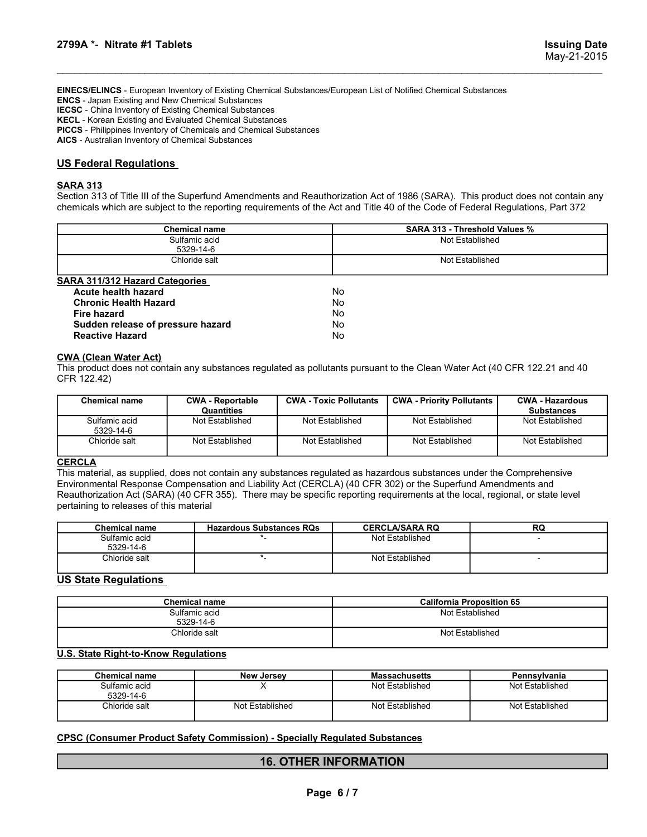2799A \*- Nitrate #1 Tablets<br>
Issuing Date<br>
ISSUINGS - European Inventory of Existing Chemical Substances/European List of Notified Chemical Substances<br>
ISSUINGS - Japan Existing and New Chemical Substances<br>IECSC - China In EINECS/ELINCS - European Inventory of Existing Chemical Substances/European List of Notified Chemical Substances ENCS - Japan Existing and New Chemical Substances IECSC - China Inventory of Existing Chemical Substances KECL - Korean Existing and Evaluated Chemical Substances PICCS - Philippines Inventory of Chemicals and Chemical Substances AICS - Australian Inventory of Chemical Substances 2799A \*- Nitrate #1 Tablets<br>
EINECS/ELINCS - European Inventory of Existing Chemical Substances/European List of Notified Chemical<br>
ECSC - China Inventory of Existing Chemical Substances<br>
KECL - Korean Existing and New Che Section 313 of Title III of the Superfund Amendments and Reauthorization Act of 1986 (SARA). This product does not contain and Reauthorization Chemical Substances<br>
ENCS - Japan Existing and New Chemical Substances<br>
IECS -

# SARA 313

| 2799A *- Nitrate #1 Tablets                                                                                                                                                                                                                                                                                                                                                                                                            |                                 |                               |                               |                                  | <b>Issuing Date</b><br>May-21-2015                                                                                             |
|----------------------------------------------------------------------------------------------------------------------------------------------------------------------------------------------------------------------------------------------------------------------------------------------------------------------------------------------------------------------------------------------------------------------------------------|---------------------------------|-------------------------------|-------------------------------|----------------------------------|--------------------------------------------------------------------------------------------------------------------------------|
| EINECS/ELINCS - European Inventory of Existing Chemical Substances/European List of Notified Chemical Substances<br><b>ENCS</b> - Japan Existing and New Chemical Substances<br><b>IECSC</b> - China Inventory of Existing Chemical Substances<br>KECL - Korean Existing and Evaluated Chemical Substances<br>PICCS - Philippines Inventory of Chemicals and Chemical Substances<br>AICS - Australian Inventory of Chemical Substances |                                 |                               |                               |                                  |                                                                                                                                |
| <b>US Federal Regulations</b><br>SARA 313<br>chemicals which are subject to the reporting requirements of the Act and Title 40 of the Code of Federal Regulations, Part 372                                                                                                                                                                                                                                                            |                                 |                               |                               |                                  | Section 313 of Title III of the Superfund Amendments and Reauthorization Act of 1986 (SARA). This product does not contain any |
|                                                                                                                                                                                                                                                                                                                                                                                                                                        | <b>Chemical name</b>            |                               | SARA 313 - Threshold Values % |                                  |                                                                                                                                |
| Sulfamic acid<br>Not Established<br>5329-14-6                                                                                                                                                                                                                                                                                                                                                                                          |                                 |                               |                               |                                  |                                                                                                                                |
|                                                                                                                                                                                                                                                                                                                                                                                                                                        | Chloride salt                   |                               |                               | Not Established                  |                                                                                                                                |
|                                                                                                                                                                                                                                                                                                                                                                                                                                        |                                 |                               |                               |                                  |                                                                                                                                |
| SARA 311/312 Hazard Categories                                                                                                                                                                                                                                                                                                                                                                                                         |                                 |                               |                               |                                  |                                                                                                                                |
| Acute health hazard                                                                                                                                                                                                                                                                                                                                                                                                                    |                                 |                               | No.                           |                                  |                                                                                                                                |
| <b>Chronic Health Hazard</b><br><b>Fire hazard</b>                                                                                                                                                                                                                                                                                                                                                                                     |                                 |                               | No.<br>No.                    |                                  |                                                                                                                                |
| Sudden release of pressure hazard<br><b>Reactive Hazard</b>                                                                                                                                                                                                                                                                                                                                                                            |                                 |                               | No.<br>No                     |                                  |                                                                                                                                |
| <u>CWA (Clean Water Act)</u><br>This product does not contain any substances regulated as pollutants pursuant to the Clean Water Act (40 CFR 122.21 and 40                                                                                                                                                                                                                                                                             |                                 |                               |                               |                                  |                                                                                                                                |
| CFR 122.42)                                                                                                                                                                                                                                                                                                                                                                                                                            |                                 |                               |                               |                                  |                                                                                                                                |
| <b>Chemical name</b>                                                                                                                                                                                                                                                                                                                                                                                                                   | <b>CWA - Reportable</b>         | <b>CWA - Toxic Pollutants</b> |                               | <b>CWA - Priority Pollutants</b> | <b>CWA - Hazardous</b><br><b>Substances</b>                                                                                    |
| Sulfamic acid<br>5329-14-6                                                                                                                                                                                                                                                                                                                                                                                                             | Quantities<br>Not Established   | Not Established               |                               | Not Established                  | Not Established                                                                                                                |
| Chloride salt                                                                                                                                                                                                                                                                                                                                                                                                                          | Not Established                 | Not Established               |                               | Not Established                  | Not Established                                                                                                                |
| <b>CERCLA</b><br>This material, as supplied, does not contain any substances regulated as hazardous substances under the Comprehensive<br>Environmental Response Compensation and Liability Act (CERCLA) (40 CFR 302) or the Superfund Amendments and<br>Reauthorization Act (SARA) (40 CFR 355). There may be specific reporting requirements at the local, regional, or state level<br>pertaining to releases of this material       |                                 |                               |                               |                                  |                                                                                                                                |
| Chemical name                                                                                                                                                                                                                                                                                                                                                                                                                          | <b>Hazardous Substances RQs</b> |                               |                               | <b>CERCLA/SARA RQ</b>            | RQ                                                                                                                             |
| Sulfamic acid<br>5329-14-6                                                                                                                                                                                                                                                                                                                                                                                                             |                                 |                               |                               | Not Established                  |                                                                                                                                |

| <b>Chronic Health Hazard</b>      | No |  |
|-----------------------------------|----|--|
| Fire hazard                       | No |  |
| Sudden release of pressure hazard | No |  |
| <b>Reactive Hazard</b>            | No |  |
|                                   |    |  |

| <b>SARA 311/312 Hazard Categories</b><br>Acute health hazard                            |                                       |                               | Not Established                                                                                                            |                                             |
|-----------------------------------------------------------------------------------------|---------------------------------------|-------------------------------|----------------------------------------------------------------------------------------------------------------------------|---------------------------------------------|
|                                                                                         |                                       |                               |                                                                                                                            |                                             |
| <b>Chronic Health Hazard</b><br><b>Fire hazard</b><br>Sudden release of pressure hazard |                                       | No<br><b>No</b><br>No<br>No   |                                                                                                                            |                                             |
| <b>Reactive Hazard</b>                                                                  |                                       | No                            |                                                                                                                            |                                             |
| <b>CWA (Clean Water Act)</b>                                                            |                                       |                               |                                                                                                                            |                                             |
| CFR 122.42)                                                                             |                                       |                               | This product does not contain any substances regulated as pollutants pursuant to the Clean Water Act (40 CFR 122.21 and 40 |                                             |
| <b>Chemical name</b>                                                                    | <b>CWA - Reportable</b><br>Quantities | <b>CWA - Toxic Pollutants</b> | <b>CWA - Priority Pollutants</b>                                                                                           | <b>CWA - Hazardous</b><br><b>Substances</b> |
| Sulfamic acid<br>5329-14-6                                                              | Not Established                       | Not Established               | Not Established                                                                                                            | Not Established                             |
| Chloride salt                                                                           | Not Established                       | Not Established               | Not Established                                                                                                            | Not Established                             |
| pertaining to releases of this material<br><b>Chemical name</b>                         | <b>Hazardous Substances RQs</b>       |                               | <b>CERCLA/SARA RQ</b>                                                                                                      | <b>RQ</b>                                   |
| Sulfamic acid<br>5329-14-6                                                              | $^{\star}$ .                          |                               | Not Established                                                                                                            | $\overline{\phantom{a}}$                    |
| $\star_-$<br>Chloride salt                                                              |                                       |                               |                                                                                                                            |                                             |
|                                                                                         |                                       |                               | Not Established                                                                                                            |                                             |
| <b>US State Regulations</b>                                                             |                                       |                               |                                                                                                                            |                                             |
|                                                                                         | <b>Chemical name</b>                  |                               | <b>California Proposition 65</b>                                                                                           |                                             |
|                                                                                         | Sulfamic acid<br>5329-14-6            |                               | Not Established                                                                                                            |                                             |
|                                                                                         | Chloride salt                         |                               | Not Established                                                                                                            |                                             |
| <b>U.S. State Right-to-Know Regulations</b>                                             |                                       |                               |                                                                                                                            |                                             |
| <b>Chemical name</b>                                                                    | <b>New Jersey</b>                     |                               | <b>Massachusetts</b>                                                                                                       | Pennsylvania                                |
| Sulfamic acid<br>5329-14-6                                                              | X                                     |                               | Not Established                                                                                                            | Not Established                             |

# **CERCLA**

| Not Established<br>Sulfamic acid<br>Not Established<br>Not Established<br>Not Established<br>5329-14-6<br>Not Established<br>Not Established<br>Not Established<br>Not Established<br>Chloride salt<br>RQ<br><b>Chemical name</b><br><b>Hazardous Substances RQs</b><br><b>CERCLA/SARA RQ</b><br>Sulfamic acid<br>Not Established<br>5329-14-6<br>$\star_-$<br>Chloride salt<br>Not Established<br>$\overline{a}$<br><b>California Proposition 65</b><br><b>Chemical name</b><br>Sulfamic acid<br>Not Established<br>5329-14-6<br>Not Established<br>Chloride salt<br><b>Chemical name</b><br>Pennsylvania<br><b>New Jersey</b><br><b>Massachusetts</b><br>X<br>Not Established<br>Sulfamic acid<br>Not Established<br>5329-14-6<br>Not Established<br>Not Established<br>Chloride salt<br>Not Established<br><b>16. OTHER INFORMATION</b><br>Page 6/7 | Quantities |  | <b>Substances</b> |
|--------------------------------------------------------------------------------------------------------------------------------------------------------------------------------------------------------------------------------------------------------------------------------------------------------------------------------------------------------------------------------------------------------------------------------------------------------------------------------------------------------------------------------------------------------------------------------------------------------------------------------------------------------------------------------------------------------------------------------------------------------------------------------------------------------------------------------------------------------|------------|--|-------------------|
|                                                                                                                                                                                                                                                                                                                                                                                                                                                                                                                                                                                                                                                                                                                                                                                                                                                        |            |  |                   |
| <b>CERCLA</b><br>This material, as supplied, does not contain any substances regulated as hazardous substances under the Comprehensive<br>Environmental Response Compensation and Liability Act (CERCLA) (40 CFR 302) or the Superfund Amendments and                                                                                                                                                                                                                                                                                                                                                                                                                                                                                                                                                                                                  |            |  |                   |
|                                                                                                                                                                                                                                                                                                                                                                                                                                                                                                                                                                                                                                                                                                                                                                                                                                                        |            |  |                   |
|                                                                                                                                                                                                                                                                                                                                                                                                                                                                                                                                                                                                                                                                                                                                                                                                                                                        |            |  |                   |
| Reauthorization Act (SARA) (40 CFR 355). There may be specific reporting requirements at the local, regional, or state level<br>pertaining to releases of this material                                                                                                                                                                                                                                                                                                                                                                                                                                                                                                                                                                                                                                                                                |            |  |                   |
|                                                                                                                                                                                                                                                                                                                                                                                                                                                                                                                                                                                                                                                                                                                                                                                                                                                        |            |  |                   |
|                                                                                                                                                                                                                                                                                                                                                                                                                                                                                                                                                                                                                                                                                                                                                                                                                                                        |            |  |                   |
|                                                                                                                                                                                                                                                                                                                                                                                                                                                                                                                                                                                                                                                                                                                                                                                                                                                        |            |  |                   |
|                                                                                                                                                                                                                                                                                                                                                                                                                                                                                                                                                                                                                                                                                                                                                                                                                                                        |            |  |                   |
| <b>US State Regulations</b>                                                                                                                                                                                                                                                                                                                                                                                                                                                                                                                                                                                                                                                                                                                                                                                                                            |            |  |                   |
|                                                                                                                                                                                                                                                                                                                                                                                                                                                                                                                                                                                                                                                                                                                                                                                                                                                        |            |  |                   |
|                                                                                                                                                                                                                                                                                                                                                                                                                                                                                                                                                                                                                                                                                                                                                                                                                                                        |            |  |                   |
| <b>U.S. State Right-to-Know Regulations</b><br><b>CPSC (Consumer Product Safety Commission) - Specially Regulated Substances</b>                                                                                                                                                                                                                                                                                                                                                                                                                                                                                                                                                                                                                                                                                                                       |            |  |                   |
|                                                                                                                                                                                                                                                                                                                                                                                                                                                                                                                                                                                                                                                                                                                                                                                                                                                        |            |  |                   |
|                                                                                                                                                                                                                                                                                                                                                                                                                                                                                                                                                                                                                                                                                                                                                                                                                                                        |            |  |                   |
|                                                                                                                                                                                                                                                                                                                                                                                                                                                                                                                                                                                                                                                                                                                                                                                                                                                        |            |  |                   |
|                                                                                                                                                                                                                                                                                                                                                                                                                                                                                                                                                                                                                                                                                                                                                                                                                                                        |            |  |                   |
|                                                                                                                                                                                                                                                                                                                                                                                                                                                                                                                                                                                                                                                                                                                                                                                                                                                        |            |  |                   |
|                                                                                                                                                                                                                                                                                                                                                                                                                                                                                                                                                                                                                                                                                                                                                                                                                                                        |            |  |                   |
|                                                                                                                                                                                                                                                                                                                                                                                                                                                                                                                                                                                                                                                                                                                                                                                                                                                        |            |  |                   |
|                                                                                                                                                                                                                                                                                                                                                                                                                                                                                                                                                                                                                                                                                                                                                                                                                                                        |            |  |                   |
|                                                                                                                                                                                                                                                                                                                                                                                                                                                                                                                                                                                                                                                                                                                                                                                                                                                        |            |  |                   |
|                                                                                                                                                                                                                                                                                                                                                                                                                                                                                                                                                                                                                                                                                                                                                                                                                                                        |            |  |                   |
|                                                                                                                                                                                                                                                                                                                                                                                                                                                                                                                                                                                                                                                                                                                                                                                                                                                        |            |  |                   |
|                                                                                                                                                                                                                                                                                                                                                                                                                                                                                                                                                                                                                                                                                                                                                                                                                                                        |            |  |                   |
|                                                                                                                                                                                                                                                                                                                                                                                                                                                                                                                                                                                                                                                                                                                                                                                                                                                        |            |  |                   |
|                                                                                                                                                                                                                                                                                                                                                                                                                                                                                                                                                                                                                                                                                                                                                                                                                                                        |            |  |                   |
|                                                                                                                                                                                                                                                                                                                                                                                                                                                                                                                                                                                                                                                                                                                                                                                                                                                        |            |  |                   |
|                                                                                                                                                                                                                                                                                                                                                                                                                                                                                                                                                                                                                                                                                                                                                                                                                                                        |            |  |                   |
|                                                                                                                                                                                                                                                                                                                                                                                                                                                                                                                                                                                                                                                                                                                                                                                                                                                        |            |  |                   |
|                                                                                                                                                                                                                                                                                                                                                                                                                                                                                                                                                                                                                                                                                                                                                                                                                                                        |            |  |                   |
|                                                                                                                                                                                                                                                                                                                                                                                                                                                                                                                                                                                                                                                                                                                                                                                                                                                        |            |  |                   |
|                                                                                                                                                                                                                                                                                                                                                                                                                                                                                                                                                                                                                                                                                                                                                                                                                                                        |            |  |                   |

| <b>Chemical name</b> | <b>California Proposition 65</b> |
|----------------------|----------------------------------|
| Sulfamic acid        | Not Established                  |
| 5329-14-6            |                                  |
| Chloride salt        | Not Established                  |
|                      |                                  |

| <b>Chemical name</b>       | <b>New Jersey</b> | <b>Massachusetts</b> | Pennsylvania    |
|----------------------------|-------------------|----------------------|-----------------|
| Sulfamic acid<br>5329-14-6 |                   | Not Established      | Not Established |
| Chloride salt              | Not Established   | Not Established      | Not Established |

# 16. OTHER INFORMATION